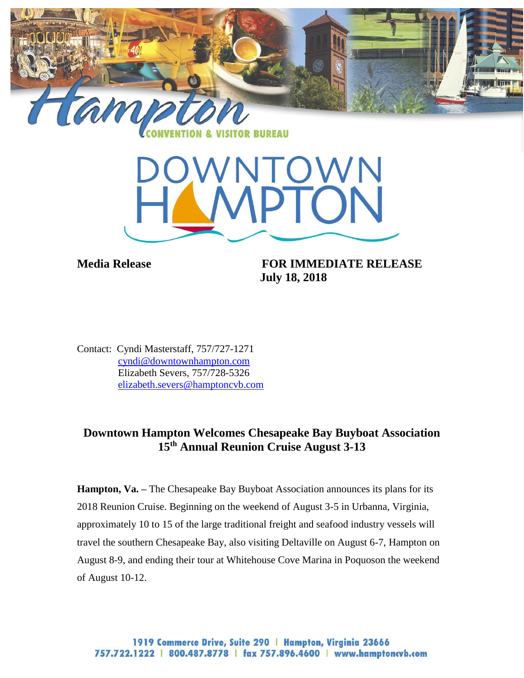

**Media Release FOR IMMEDIATE RELEASE July 18, 2018**

Contact: Cyndi Masterstaff, 757/727-1271 [cyndi@downtownhampton.com](mailto:cyndi@downtownhampton.com) Elizabeth Severs, 757/728-5326 [elizabeth.severs@hamptoncvb.com](mailto:elizabeth.severs@hamptoncvb.com)

## **Downtown Hampton Welcomes Chesapeake Bay Buyboat Association 15th Annual Reunion Cruise August 3-13**

**Hampton, Va.** – The Chesapeake Bay Buyboat Association announces its plans for its 2018 Reunion Cruise. Beginning on the weekend of August 3-5 in Urbanna, Virginia, approximately 10 to 15 of the large traditional freight and seafood industry vessels will travel the southern Chesapeake Bay, also visiting Deltaville on August 6-7, Hampton on August 8-9, and ending their tour at Whitehouse Cove Marina in Poquoson the weekend of August 10-12.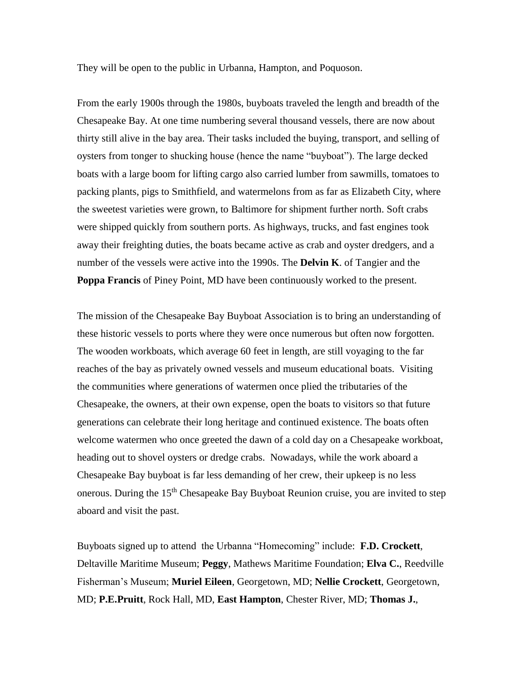They will be open to the public in Urbanna, Hampton, and Poquoson.

From the early 1900s through the 1980s, buyboats traveled the length and breadth of the Chesapeake Bay. At one time numbering several thousand vessels, there are now about thirty still alive in the bay area. Their tasks included the buying, transport, and selling of oysters from tonger to shucking house (hence the name "buyboat"). The large decked boats with a large boom for lifting cargo also carried lumber from sawmills, tomatoes to packing plants, pigs to Smithfield, and watermelons from as far as Elizabeth City, where the sweetest varieties were grown, to Baltimore for shipment further north. Soft crabs were shipped quickly from southern ports. As highways, trucks, and fast engines took away their freighting duties, the boats became active as crab and oyster dredgers, and a number of the vessels were active into the 1990s. The **Delvin K**. of Tangier and the **Poppa Francis** of Piney Point, MD have been continuously worked to the present.

The mission of the Chesapeake Bay Buyboat Association is to bring an understanding of these historic vessels to ports where they were once numerous but often now forgotten. The wooden workboats, which average 60 feet in length, are still voyaging to the far reaches of the bay as privately owned vessels and museum educational boats. Visiting the communities where generations of watermen once plied the tributaries of the Chesapeake, the owners, at their own expense, open the boats to visitors so that future generations can celebrate their long heritage and continued existence. The boats often welcome watermen who once greeted the dawn of a cold day on a Chesapeake workboat, heading out to shovel oysters or dredge crabs. Nowadays, while the work aboard a Chesapeake Bay buyboat is far less demanding of her crew, their upkeep is no less onerous. During the  $15<sup>th</sup>$  Chesapeake Bay Buyboat Reunion cruise, you are invited to step aboard and visit the past.

Buyboats signed up to attend the Urbanna "Homecoming" include: **F.D. Crockett**, Deltaville Maritime Museum; **Peggy**, Mathews Maritime Foundation; **Elva C.**, Reedville Fisherman's Museum; **Muriel Eileen**, Georgetown, MD; **Nellie Crockett**, Georgetown, MD; **P.E.Pruitt**, Rock Hall, MD, **East Hampton**, Chester River, MD; **Thomas J.**,